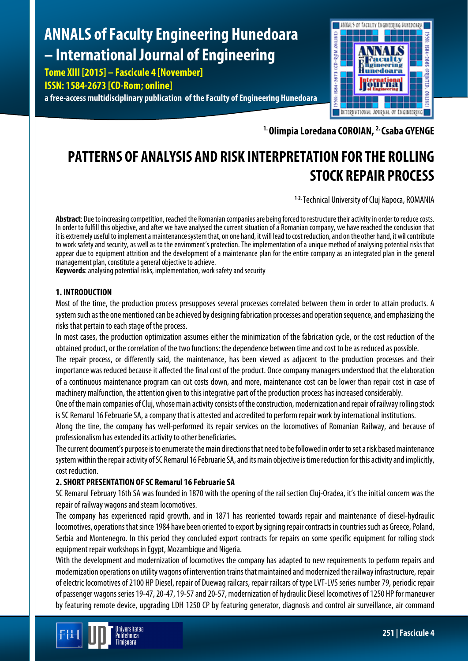# **ANNALS of Faculty Engineering Hunedoara – International Journal of Engineering**

**Tome XIII [2015] – Fascicule 4 [November] ISSN: 1584-2673 [CD-Rom; online]**

**a free-access multidisciplinary publication of the Faculty of Engineering Hunedoara**



**1. Olimpia Loredana COROIAN, 2. Csaba GYENGE**

# **PATTERNS OF ANALYSIS AND RISK INTERPRETATION FOR THE ROLLING STOCK REPAIR PROCESS**

**1-2.** Technical University of Cluj Napoca, ROMANIA

**Abstract**: Due to increasing competition, reached the Romanian companies are being forced to restructure their activity in order to reduce costs. In order to fulfill this objective, and after we have analysed the current situation of a Romanian company, we have reached the conclusion that it is extremely useful to implement a maintenance system that, on one hand, it will lead to cost reduction, and on the other hand, it wil contribute to work safety and security, as well as to the enviroment's protection. The implementation of a unique method of analysing potential risks that appear due to equipment attrition and the development of a maintenance plan for the entire company as an integrated plan in the general management plan, constitute a general objective to achieve.

**Keywords**: analysing potential risks, implementation, work safety and security

# **1. INTRODUCTION**

Most of the time, the production process presupposes several processes correlated between them in order to attain products. A system such as the one mentioned can be achieved by designing fabrication processes and operation sequence, and emphasizing the risks that pertain to each stage of the process.

In most cases, the production optimization assumes either the minimization of the fabrication cycle, or the cost reduction of the obtained product, or the correlation of the two functions: the dependence between time and cost to be as reduced as possible.

The repair process, or differently said, the maintenance, has been viewed as adjacent to the production processes and their importance was reduced because it affected the final cost of the product. Once company managers understood that the elaboration of a continuous maintenance program can cut costs down, and more, maintenance cost can be lower than repair cost in case of machinery malfunction, the attention given to this integrative part of the production process has increased considerably.

One of the main companies of Cluj, whose main activity consists of the construction, modernization and repair of railway rolling stock is SC Remarul 16 Februarie SA, a company that is attested and accredited to perform repair work by international institutions.

Along the tine, the company has well-performed its repair services on the locomotives of Romanian Railway, and because of professionalism has extended its activity to other beneficiaries.

The current document's purpose is to enumerate the main directions that need to be followed in order to set a risk based maintenance system within the repair activity of SC Remarul 16 Februarie SA, and its main objective is time reduction for this activity and implicitly, cost reduction.

# **2. SHORT PRESENTATION OF SC Remarul 16 Februarie SA**

SC Remarul February 16th SA was founded in 1870 with the opening of the rail section Cluj-Oradea, it's the initial concern was the repair of railway wagons and steam locomotives.

The company has experienced rapid growth, and in 1871 has reoriented towards repair and maintenance of diesel-hydraulic locomotives, operations that since 1984 have been oriented to export by signing repair contracts in countries such as Greece, Poland, Serbia and Montenegro. In this period they concluded export contracts for repairs on some specific equipment for rolling stock equipment repair workshops in Egypt, Mozambique and Nigeria.

With the development and modernization of locomotives the company has adapted to new requirements to perform repairs and modernization operations on utility wagons of intervention trains that maintained and modernized the railway infrastructure, repair of electric locomotives of 2100 HP Diesel, repair of Duewag railcars, repair railcars of type LVT-LVS series number 79, periodic repair of passenger wagons series 19-47, 20-47, 19-57and 20-57, modernization of hydraulic Diesel locomotives of 1250 HP for maneuver by featuring remote device, upgrading LDH 1250 CP by featuring generator, diagnosis and control air surveillance, air command

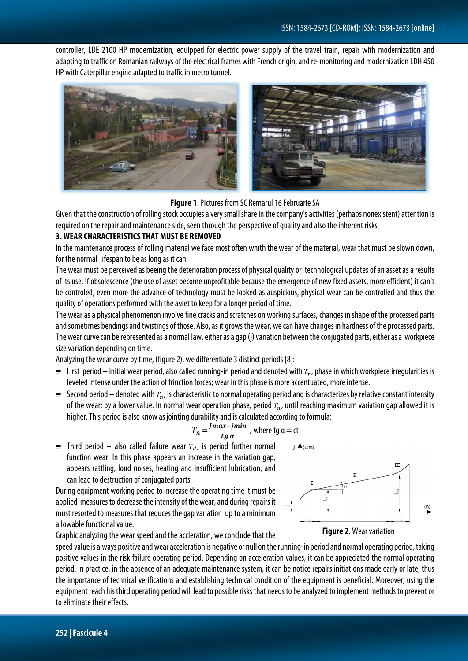controller, LDE 2100 HP modernization, equipped for electric power supply of the travel train, repair with modernization and adapting to traffic on Romanian railways of the electrical frames with French origin, and re-monitoring and modernization LDH 450 HP with Caterpillar engine adapted to traffic in metro tunnel.



#### **Figure 1**. Pictures from SC Remarul 16 Februarie SA

Given that the construction of rolling stock occupies a very small share in the company's activities (perhaps nonexistent) attention is required on the repair and maintenance side, seen through the perspective of quality and also the inherent risks

#### **3. WEAR CHARACTERISTICS THAT MUST BE REMOVED**

In the maintenance process of rolling material we face most often whith the wear of the material, wear that must be slown down, for the normal lifespan to be as long as it can.

The wear must be perceived as beeing the deterioration process of physical quality or technological updates of an asset as aresults of its use. If obsolescence (the use of asset become unprofitable because the emergence of new fixed assets, more efficient) it can't be controled, even more the advance of technology must be looked as auspicious, physical wear can be controlled and thus the quality of operations performed with the asset to keep for a longer period of time.

The wear as a physical phenomenon involve fine cracks and scratches on working surfaces, changes in shape of the processed parts and sometimes bendings and twistings of those. Also, as it grows the wear, we can have changes in hardness of the processed parts. The wear curve can be represented as a normal law, either as a gap (j) variation between the conjugated parts, either as a workpiece size variation depending on time.

Analyzing the wear curve by time, (figure 2), we differentiate 3 distinct periods [8]:

- $\equiv$  First period initial wear period, also called running-in period and denoted with  $T_r$ , phase in which workpiece irregularities is leveled intense under the action of frinction forces; wear in this phase is more accentuated, more intense.
- $\equiv$  Second period denoted with  $T_n$ , is characteristic to normal operating period and is characterizes by relative constant intensity of the wear; by a lower value. In normal wear operation phase, period  $T_n$ , until reaching maximum variation gap allowed it is higher. This period is also know as jointing durability and is calculated according to formula:

$$
T_n = \frac{Imax - jmin}{tg \alpha}
$$
, where tg a = ct

 $\equiv$  Third period – also called failure wear  $T_d$ , is period further normal function wear. In this phase appears an increase in the variation gap, appears rattling, loud noises, heating and insufficient lubrication, and can lead to destruction of conjugated parts.

During equipment working period to increase the operating time it must be applied measures to decrease the intensity of the wear, and during repairs it must resorted to measures that reduces the gap variation up to a minimum allowable functional value.

Graphic analyzing the wear speed and the accleration, we conclude that the



**Figure 2**. Wear variation

speed value is always positive and wear acceleration is negative or null on the running-in period and normal operating period, taking positive values in the risk failure operating period. Depending on acceleration values, it can be appreciated the normal operating period. In practice, in the absence of an adequate maintenance system, it can be notice repairs initiations made early or late, thus the importance of technical verifications and establishing technical condition of the equipment is beneficial. Moreover, using the equipment reach his third operating period will lead to possible risks that needs to be analyzed to implement methods to prevent or to eliminate their effects.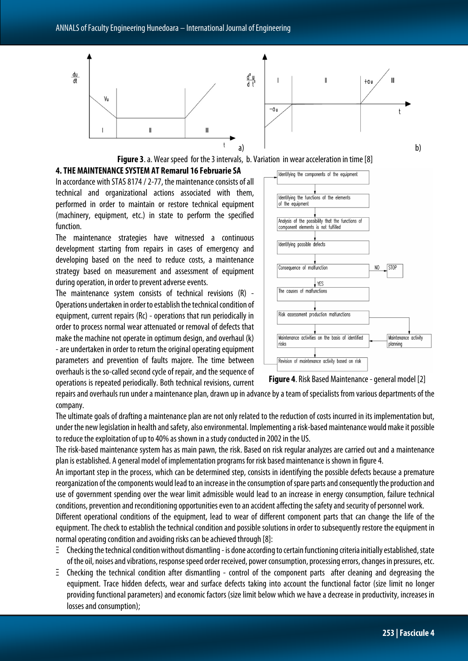

**Figure 3.** a. Wear speed for the 3 intervals, b. Variation in wear acceleration in time [8]

# **4. THE MAINTENANCE SYSTEM AT Remarul 16 Februarie SA**

In accordance with STAS 8174 / 2-77, the maintenance consists of all technical and organizational actions associated with them, performed in order to maintain or restore technical equipment (machinery, equipment, etc.) in state to perform the specified function.

The maintenance strategies have witnessed a continuous development starting from repairs in cases of emergency and developing based on the need to reduce costs, a maintenance strategy based on measurement and assessment of equipment during operation, in order to prevent adverse events.

The maintenance system consists of technical revisions (R) - Operations undertaken in order to establish the technical condition of equipment, current repairs (Rc) - operations that run periodically in order to process normal wear attenuated or removal of defects that make the machine not operate in optimum design, and overhaul (k) -are undertaken in order to return the original operating equipment parameters and prevention of faults majore. The time between overhauls is the so-called second cycle of repair, and the sequence of operations is repeated periodically. Both technical revisions, current





repairs and overhauls run under a maintenance plan, drawn up in advance by a team of specialists from various departments of the company.

The ultimate goals of drafting a maintenance plan are not only related to the reduction of costs incurred in its implementation but, under the new legislation in health and safety, also environmental. Implementing a risk-based maintenance would make it possible to reduce the exploitation of up to 40% as shown in a study conducted in 2002 in the US.

The risk-based maintenance system has as main pawn, the risk. Based on risk regular analyzes are carried out and a maintenance plan is established. A general model of implementation programs for risk based maintenance is shown in figure 4.

An important step in the process, which can be determined step, consists in identifying the possible defects because a premature reorganization of the components would lead to an increase in the consumption of spare parts and consequently the production and use of government spending over the wear limit admissible would lead to an increase in energy consumption, failure technical conditions, prevention and reconditioning opportunities even to an accident affecting the safety and security of personnel work.

Different operational conditions of the equipment, lead to wear of different component parts that can change the life of the equipment. The check to establish the technical condition and possible solutions in order to subsequently restore the equipment in normal operating condition and avoiding risks can be achieved through [8]:

- Ξ Checking the technical condition without dismantling -is done according to certain functioning criteria initially established, state of the oil, noises and vibrations, response speed order received, power consumption, processing errors, changes in pressures, etc.
- Ξ Checking the technical condition after dismantling control of the component parts after cleaning and degreasing the equipment. Trace hidden defects, wear and surface defects taking into account the functional factor (size limit no longer providing functional parameters) and economic factors (size limit below which we have a decrease in productivity, increases in losses and consumption);